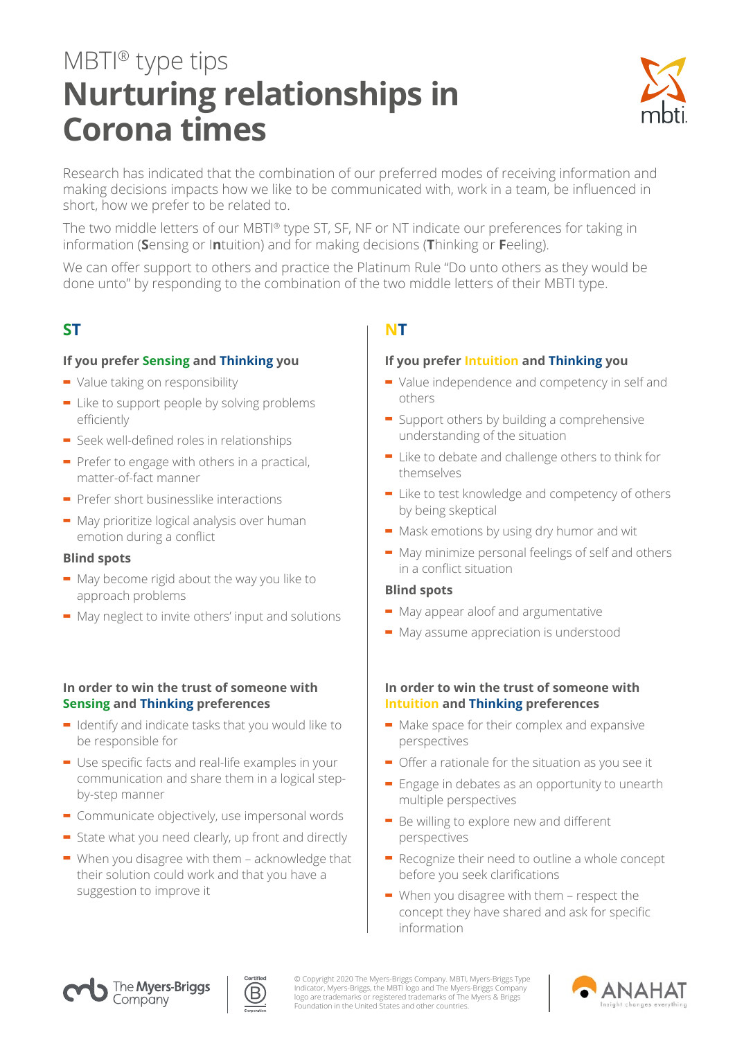# MBTI® type tips **Nurturing relationships in Corona times**



Research has indicated that the combination of our preferred modes of receiving information and making decisions impacts how we like to be communicated with, work in a team, be influenced in short, how we prefer to be related to.

The two middle letters of our MBTI® type ST, SF, NF or NT indicate our preferences for taking in information (**S**ensing or I**n**tuition) and for making decisions (**T**hinking or **F**eeling).

We can offer support to others and practice the Platinum Rule "Do unto others as they would be done unto" by responding to the combination of the two middle letters of their MBTI type.

### **If you prefer Sensing and Thinking you**

- **-** Value taking on responsibility
- **-** Like to support people by solving problems efficiently
- **-** Seek well-defined roles in relationships
- **-** Prefer to engage with others in a practical, matter-of-fact manner
- **-** Prefer short businesslike interactions
- **-** May prioritize logical analysis over human emotion during a conflict

### **Blind spots**

- **-** May become rigid about the way you like to approach problems
- **-** May neglect to invite others' input and solutions

### **In order to win the trust of someone with Sensing and Thinking preferences**

- **-** Identify and indicate tasks that you would like to be responsible for
- **-** Use specific facts and real-life examples in your communication and share them in a logical stepby-step manner
- **-** Communicate objectively, use impersonal words
- **-** State what you need clearly, up front and directly
- **-** When you disagree with them acknowledge that their solution could work and that you have a suggestion to improve it

# **ST NT**

### **If you prefer Intuition and Thinking you**

- **-** Value independence and competency in self and others
- **-** Support others by building a comprehensive understanding of the situation
- **-** Like to debate and challenge others to think for themselves
- **-** Like to test knowledge and competency of others by being skeptical
- **-** Mask emotions by using dry humor and wit
- **-** May minimize personal feelings of self and others in a conflict situation

### **Blind spots**

- **-** May appear aloof and argumentative
- **-** May assume appreciation is understood

### **In order to win the trust of someone with Intuition and Thinking preferences**

- **-** Make space for their complex and expansive perspectives
- **-** Offer a rationale for the situation as you see it
- **-** Engage in debates as an opportunity to unearth multiple perspectives
- **-** Be willing to explore new and different perspectives
- **-** Recognize their need to outline a whole concept before you seek clarifications
- **-** When you disagree with them respect the concept they have shared and ask for specific information





© Copyright 2020 The Myers-Briggs Company. MBTI, Myers-Briggs Type<br>Indicator, Myers-Briggs, the MBTI logo and The Myers-Briggs Company<br>logo are trademarks or registered trademarks of The Myers & Briggs<br>Foundation in the Un